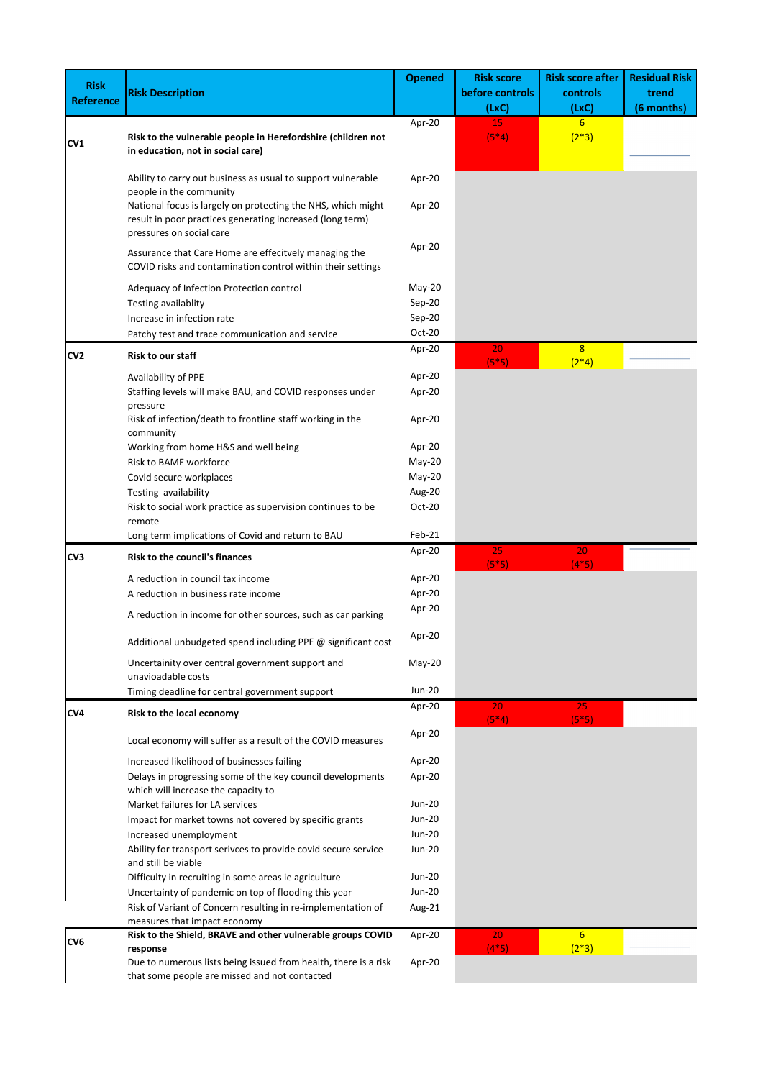| <b>Risk</b>      |                                                                                                                                                       | <b>Opened</b>             | <b>Risk score</b> | <b>Risk score after</b>   | <b>Residual Risk</b> |
|------------------|-------------------------------------------------------------------------------------------------------------------------------------------------------|---------------------------|-------------------|---------------------------|----------------------|
| <b>Reference</b> | <b>Risk Description</b>                                                                                                                               |                           | before controls   | controls                  | trend                |
|                  |                                                                                                                                                       |                           | (LxC)             | (LxC)                     | (6 months)           |
|                  | Risk to the vulnerable people in Herefordshire (children not                                                                                          | Apr-20                    | 15<br>$(5*4)$     | 6<br>$(2*3)$              |                      |
| CV1              | in education, not in social care)                                                                                                                     |                           |                   |                           |                      |
|                  | Ability to carry out business as usual to support vulnerable<br>people in the community                                                               | Apr-20                    |                   |                           |                      |
|                  | National focus is largely on protecting the NHS, which might<br>result in poor practices generating increased (long term)<br>pressures on social care | Apr-20                    |                   |                           |                      |
|                  | Assurance that Care Home are effecitvely managing the<br>COVID risks and contamination control within their settings                                  | Apr-20                    |                   |                           |                      |
|                  | Adequacy of Infection Protection control                                                                                                              | $May-20$                  |                   |                           |                      |
|                  | Testing availablity                                                                                                                                   | Sep-20                    |                   |                           |                      |
|                  | Increase in infection rate                                                                                                                            | $Sep-20$                  |                   |                           |                      |
|                  | Patchy test and trace communication and service                                                                                                       | Oct-20                    |                   |                           |                      |
| CV <sub>2</sub>  | Risk to our staff                                                                                                                                     | Apr-20                    | 20                | 8                         |                      |
|                  |                                                                                                                                                       |                           | $(5*5)$           | $(2*4)$                   |                      |
|                  | Availability of PPE<br>Staffing levels will make BAU, and COVID responses under                                                                       | Apr-20<br>Apr-20          |                   |                           |                      |
|                  | pressure                                                                                                                                              |                           |                   |                           |                      |
|                  | Risk of infection/death to frontline staff working in the<br>community                                                                                | Apr-20                    |                   |                           |                      |
|                  | Working from home H&S and well being                                                                                                                  | Apr-20                    |                   |                           |                      |
|                  | Risk to BAME workforce                                                                                                                                | $May-20$                  |                   |                           |                      |
|                  | Covid secure workplaces                                                                                                                               | $May-20$                  |                   |                           |                      |
|                  | Testing availability                                                                                                                                  | Aug-20                    |                   |                           |                      |
|                  | Risk to social work practice as supervision continues to be<br>remote                                                                                 | Oct-20                    |                   |                           |                      |
|                  | Long term implications of Covid and return to BAU                                                                                                     | Feb-21                    |                   |                           |                      |
| CV3              | <b>Risk to the council's finances</b>                                                                                                                 | Apr-20                    | 25<br>$(5*5)$     | 20<br>$(4*5)$             |                      |
|                  | A reduction in council tax income                                                                                                                     | Apr-20                    |                   |                           |                      |
|                  | A reduction in business rate income                                                                                                                   | Apr-20                    |                   |                           |                      |
|                  | A reduction in income for other sources, such as car parking                                                                                          | Apr-20                    |                   |                           |                      |
|                  | Additional unbudgeted spend including PPE @ significant cost                                                                                          | Apr-20                    |                   |                           |                      |
|                  | Uncertainity over central government support and<br>unavioadable costs                                                                                | $May-20$<br><b>Jun-20</b> |                   |                           |                      |
|                  | Timing deadline for central government support                                                                                                        | Apr-20                    | 20                | 25.                       |                      |
| CV4              | Risk to the local economy                                                                                                                             |                           | $(5*4)$           | $(5*5)$                   |                      |
|                  | Local economy will suffer as a result of the COVID measures                                                                                           | Apr-20                    |                   |                           |                      |
|                  | Increased likelihood of businesses failing                                                                                                            | Apr-20                    |                   |                           |                      |
|                  | Delays in progressing some of the key council developments<br>which will increase the capacity to                                                     | Apr-20                    |                   |                           |                      |
|                  | Market failures for LA services                                                                                                                       | <b>Jun-20</b>             |                   |                           |                      |
|                  | Impact for market towns not covered by specific grants                                                                                                | Jun-20                    |                   |                           |                      |
|                  | Increased unemployment                                                                                                                                | <b>Jun-20</b>             |                   |                           |                      |
|                  | Ability for transport serivces to provide covid secure service                                                                                        | <b>Jun-20</b>             |                   |                           |                      |
|                  | and still be viable                                                                                                                                   |                           |                   |                           |                      |
|                  | Difficulty in recruiting in some areas ie agriculture                                                                                                 | <b>Jun-20</b>             |                   |                           |                      |
|                  | Uncertainty of pandemic on top of flooding this year                                                                                                  | <b>Jun-20</b>             |                   |                           |                      |
|                  | Risk of Variant of Concern resulting in re-implementation of<br>measures that impact economy                                                          | Aug-21                    |                   |                           |                      |
| CV <sub>6</sub>  | Risk to the Shield, BRAVE and other vulnerable groups COVID<br>response                                                                               | Apr-20                    | 20<br>$(4*5)$     | 6 <sup>1</sup><br>$(2*3)$ |                      |
|                  | Due to numerous lists being issued from health, there is a risk<br>that some people are missed and not contacted                                      | Apr-20                    |                   |                           |                      |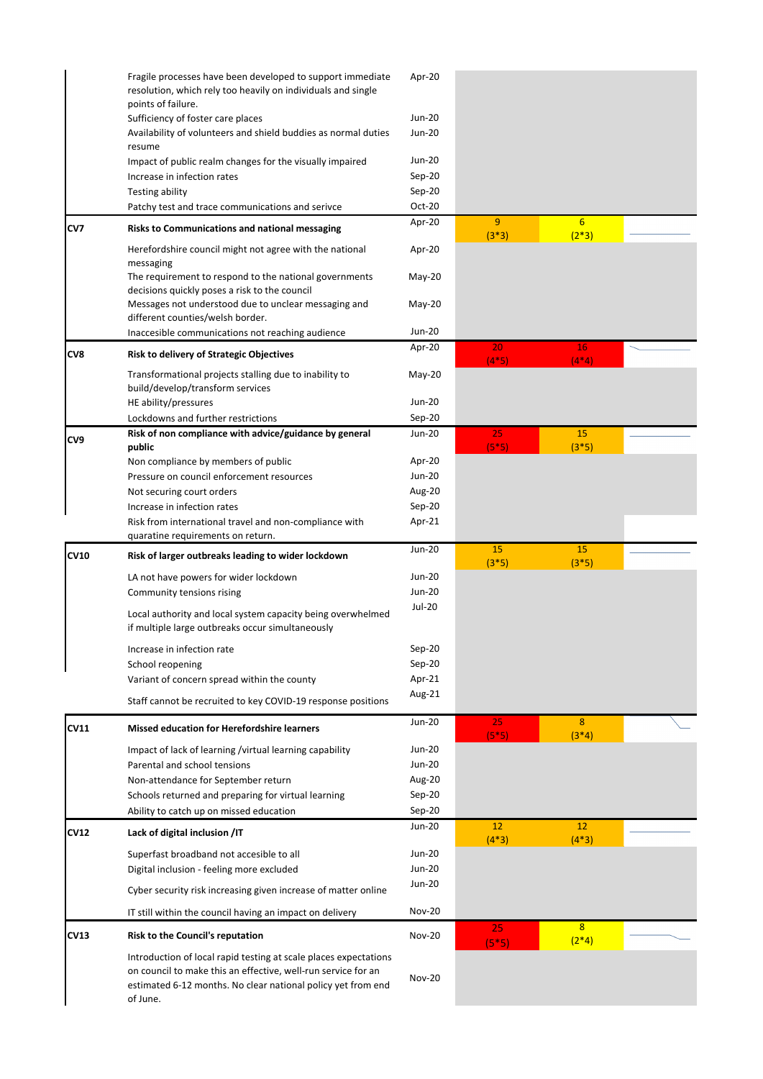|             | Fragile processes have been developed to support immediate<br>resolution, which rely too heavily on individuals and single<br>points of failure.                                                              | Apr-20        |               |                             |  |
|-------------|---------------------------------------------------------------------------------------------------------------------------------------------------------------------------------------------------------------|---------------|---------------|-----------------------------|--|
|             | Sufficiency of foster care places                                                                                                                                                                             | <b>Jun-20</b> |               |                             |  |
|             | Availability of volunteers and shield buddies as normal duties<br>resume                                                                                                                                      | <b>Jun-20</b> |               |                             |  |
|             | Impact of public realm changes for the visually impaired                                                                                                                                                      | Jun-20        |               |                             |  |
|             | Increase in infection rates                                                                                                                                                                                   | Sep-20        |               |                             |  |
|             | Testing ability                                                                                                                                                                                               | Sep-20        |               |                             |  |
|             | Patchy test and trace communications and serivce                                                                                                                                                              | Oct-20        |               |                             |  |
| CV7         | Risks to Communications and national messaging                                                                                                                                                                | Apr-20        | 9<br>$(3*3)$  | $6 \overline{6}$<br>$(2*3)$ |  |
|             | Herefordshire council might not agree with the national<br>messaging                                                                                                                                          | Apr-20        |               |                             |  |
|             | The requirement to respond to the national governments<br>decisions quickly poses a risk to the council                                                                                                       | May-20        |               |                             |  |
|             | Messages not understood due to unclear messaging and                                                                                                                                                          | $May-20$      |               |                             |  |
|             | different counties/welsh border.                                                                                                                                                                              |               |               |                             |  |
|             | Inaccesible communications not reaching audience                                                                                                                                                              | Jun-20        |               |                             |  |
| CV8         | Risk to delivery of Strategic Objectives                                                                                                                                                                      | Apr-20        | 20<br>$(4*5)$ | 16<br>$(4*4)$               |  |
|             | Transformational projects stalling due to inability to<br>build/develop/transform services                                                                                                                    | May-20        |               |                             |  |
|             | HE ability/pressures                                                                                                                                                                                          | <b>Jun-20</b> |               |                             |  |
|             | Lockdowns and further restrictions                                                                                                                                                                            | $Sep-20$      |               |                             |  |
|             | Risk of non compliance with advice/guidance by general                                                                                                                                                        | Jun-20        | 25            | 15                          |  |
| CV9         | public                                                                                                                                                                                                        |               | $(5*5)$       | $(3*5)$                     |  |
|             | Non compliance by members of public                                                                                                                                                                           | Apr-20        |               |                             |  |
|             | Pressure on council enforcement resources                                                                                                                                                                     | Jun-20        |               |                             |  |
|             | Not securing court orders                                                                                                                                                                                     | Aug-20        |               |                             |  |
|             | Increase in infection rates                                                                                                                                                                                   | Sep-20        |               |                             |  |
|             | Risk from international travel and non-compliance with<br>quaratine requirements on return.                                                                                                                   | Apr-21        |               |                             |  |
| <b>CV10</b> | Risk of larger outbreaks leading to wider lockdown                                                                                                                                                            | Jun-20        | 15<br>$(3*5)$ | 15<br>$(3*5)$               |  |
|             | LA not have powers for wider lockdown                                                                                                                                                                         | Jun-20        |               |                             |  |
|             | Community tensions rising                                                                                                                                                                                     | <b>Jun-20</b> |               |                             |  |
|             | Local authority and local system capacity being overwhelmed<br>if multiple large outbreaks occur simultaneously                                                                                               | Jul-20        |               |                             |  |
|             | Increase in infection rate                                                                                                                                                                                    | Sep-20        |               |                             |  |
|             | School reopening                                                                                                                                                                                              | Sep-20        |               |                             |  |
|             | Variant of concern spread within the county                                                                                                                                                                   | Apr-21        |               |                             |  |
|             |                                                                                                                                                                                                               | Aug-21        |               |                             |  |
|             | Staff cannot be recruited to key COVID-19 response positions                                                                                                                                                  | Jun-20        |               | 8                           |  |
| CV11        | <b>Missed education for Herefordshire learners</b>                                                                                                                                                            |               | 25<br>$(5*5)$ | $(3*4)$                     |  |
|             | Impact of lack of learning /virtual learning capability                                                                                                                                                       | <b>Jun-20</b> |               |                             |  |
|             | Parental and school tensions                                                                                                                                                                                  | Jun-20        |               |                             |  |
|             | Non-attendance for September return                                                                                                                                                                           | Aug-20        |               |                             |  |
|             | Schools returned and preparing for virtual learning                                                                                                                                                           | Sep-20        |               |                             |  |
|             | Ability to catch up on missed education                                                                                                                                                                       | Sep-20        |               |                             |  |
| CV12        | Lack of digital inclusion /IT                                                                                                                                                                                 | Jun-20        | 12<br>$(4*3)$ | 12<br>$(4*3)$               |  |
|             | Superfast broadband not accesible to all                                                                                                                                                                      | <b>Jun-20</b> |               |                             |  |
|             | Digital inclusion - feeling more excluded                                                                                                                                                                     | Jun-20        |               |                             |  |
|             | Cyber security risk increasing given increase of matter online                                                                                                                                                | Jun-20        |               |                             |  |
|             | IT still within the council having an impact on delivery                                                                                                                                                      | <b>Nov-20</b> |               |                             |  |
| CV13        | Risk to the Council's reputation                                                                                                                                                                              | <b>Nov-20</b> | 25<br>$(5*5)$ | 8 <sup>2</sup><br>$(2*4)$   |  |
|             | Introduction of local rapid testing at scale places expectations<br>on council to make this an effective, well-run service for an<br>estimated 6-12 months. No clear national policy yet from end<br>of June. | <b>Nov-20</b> |               |                             |  |